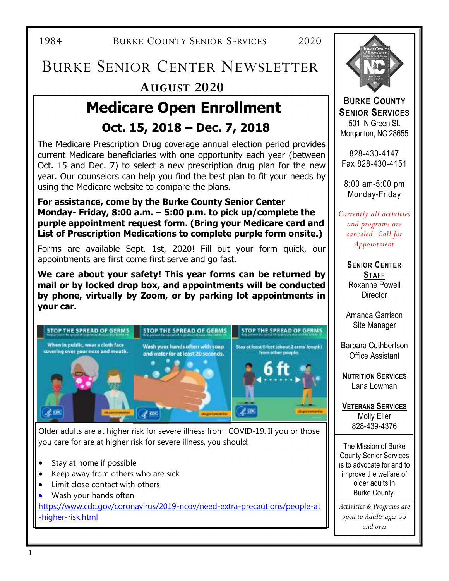1984 BURKE COUNTY SENIOR SERVICES 2020

## **AUGUST 2020**  BURKE SENIOR CENTER NEWSLETTER

## **Medicare Open Enrollment Oct. 15, 2018 – Dec. 7, 2018**

The Medicare Prescription Drug coverage annual election period provides current Medicare beneficiaries with one opportunity each year (between Oct. 15 and Dec. 7) to select a new prescription drug plan for the new year. Our counselors can help you find the best plan to fit your needs by using the Medicare website to compare the plans.

**For assistance, come by the Burke County Senior Center Monday- Friday, 8:00 a.m. – 5:00 p.m. to pick up/complete the purple appointment request form. (Bring your Medicare card and List of Prescription Medications to complete purple form onsite.)** 

Forms are available Sept. 1st, 2020! Fill out your form quick, our appointments are first come first serve and go fast.

**We care about your safety! This year forms can be returned by mail or by locked drop box, and appointments will be conducted by phone, virtually by Zoom, or by parking lot appointments in your car.** 



Older adults are at higher risk for severe illness from COVID-19. If you or those you care for are at higher risk for severe illness, you should:

- Stay at home if possible
- Keep away from others who are sick
- Limit close contact with others
- Wash your hands often

https://www.cdc.gov/coronavirus/2019-ncov/need-extra-precautions/people-at -higher-risk.html



**BURKE COUNTY SENIOR SERVICES**  501 N Green St. Morganton, NC 28655

828-430-4147 Fax 828-430-4151

8:00 am-5:00 pm Monday-Friday

*Currently all activities and programs are canceled. Call for Appointment* 

> **SENIOR CENTER STAFF** Roxanne Powell **Director**

> Amanda Garrison Site Manager

Barbara Cuthbertson Office Assistant

**NUTRITION SERVICES** Lana Lowman

**VETERANS SERVICES** Molly Eller 828-439-4376

 $\overline{a}$ The Mission of Burke County Senior Services is to advocate for and to improve the welfare of older adults in Burke County.

*Activities & Programs are open to Adults ages 55 and over*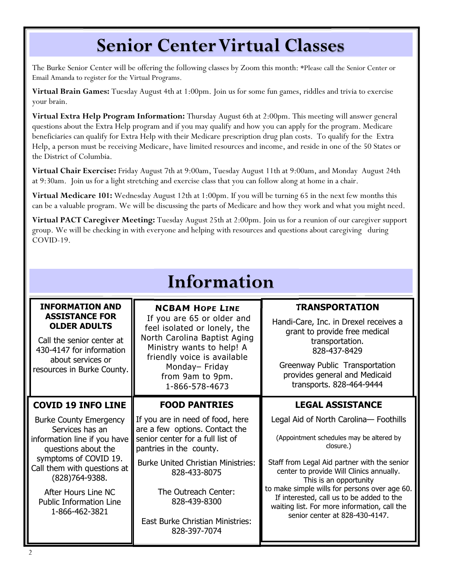## **Senior Center Virtual Classes**

The Burke Senior Center will be offering the following classes by Zoom this month: \*Please call the Senior Center or Email Amanda to register for the Virtual Programs.

**Virtual Brain Games:** Tuesday August 4th at 1:00pm. Join us for some fun games, riddles and trivia to exercise your brain.

**Virtual Extra Help Program Information:** Thursday August 6th at 2:00pm. This meeting will answer general questions about the Extra Help program and if you may qualify and how you can apply for the program. Medicare beneficiaries can qualify for Extra Help with their Medicare prescription drug plan costs. To qualify for the Extra Help, a person must be receiving Medicare, have limited resources and income, and reside in one of the 50 States or the District of Columbia.

**Virtual Chair Exercise:** Friday August 7th at 9:00am, Tuesday August 11th at 9:00am, and Monday August 24th at 9:30am.Join us for a light stretching and exercise class that you can follow along at home in a chair.

**Virtual Medicare 101:** Wednesday August 12th at 1:00pm. If you will be turning 65 in the next few months this can be a valuable program. We will be discussing the parts of Medicare and how they work and what you might need.

**Virtual PACT Caregiver Meeting:** Tuesday August 25th at 2:00pm. Join us for a reunion of our caregiver support group. We will be checking in with everyone and helping with resources and questions about caregiving during COVID-19.

| Information                                                                                                                                                                                                                                                    |                                                                                                                                                                                                                                                                                                   |                                                                                                                                                                                                                                                                                                                                                                                                       |  |  |  |  |  |
|----------------------------------------------------------------------------------------------------------------------------------------------------------------------------------------------------------------------------------------------------------------|---------------------------------------------------------------------------------------------------------------------------------------------------------------------------------------------------------------------------------------------------------------------------------------------------|-------------------------------------------------------------------------------------------------------------------------------------------------------------------------------------------------------------------------------------------------------------------------------------------------------------------------------------------------------------------------------------------------------|--|--|--|--|--|
| <b>INFORMATION AND</b><br><b>ASSISTANCE FOR</b><br><b>OLDER ADULTS</b><br>Call the senior center at<br>430-4147 for information<br>about services or<br>resources in Burke County.                                                                             | <b>NCBAM HOPE LINE</b><br>If you are 65 or older and<br>feel isolated or lonely, the<br>North Carolina Baptist Aging<br>Ministry wants to help! A<br>friendly voice is available<br>Monday-Friday<br>from 9am to 9pm.<br>1-866-578-4673                                                           | <b>TRANSPORTATION</b><br>Handi-Care, Inc. in Drexel receives a<br>grant to provide free medical<br>transportation.<br>828-437-8429<br>Greenway Public Transportation<br>provides general and Medicaid<br>transports. 828-464-9444                                                                                                                                                                     |  |  |  |  |  |
| <b>COVID 19 INFO LINE</b>                                                                                                                                                                                                                                      | <b>LEGAL ASSISTANCE</b><br><b>FOOD PANTRIES</b>                                                                                                                                                                                                                                                   |                                                                                                                                                                                                                                                                                                                                                                                                       |  |  |  |  |  |
| <b>Burke County Emergency</b><br>Services has an<br>information line if you have<br>questions about the<br>symptoms of COVID 19.<br>Call them with questions at<br>$(828)764-9388.$<br>After Hours Line NC<br><b>Public Information Line</b><br>1-866-462-3821 | If you are in need of food, here<br>are a few options. Contact the<br>senior center for a full list of<br>pantries in the county.<br><b>Burke United Christian Ministries:</b><br>828-433-8075<br>The Outreach Center:<br>828-439-8300<br><b>East Burke Christian Ministries:</b><br>828-397-7074 | Legal Aid of North Carolina- Foothills<br>(Appointment schedules may be altered by<br>closure.)<br>Staff from Legal Aid partner with the senior<br>center to provide Will Clinics annually.<br>This is an opportunity<br>to make simple wills for persons over age 60.<br>If interested, call us to be added to the<br>waiting list. For more information, call the<br>senior center at 828-430-4147. |  |  |  |  |  |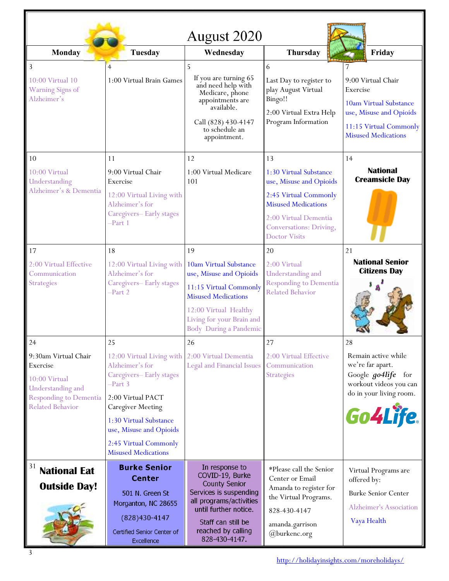| August 2020                                                                                                                        |                                                                                                                                                                                                                                                 |                                                                                                                                                                                                      |                                                                                                                                                                                      |                                                                                                                                             |  |  |
|------------------------------------------------------------------------------------------------------------------------------------|-------------------------------------------------------------------------------------------------------------------------------------------------------------------------------------------------------------------------------------------------|------------------------------------------------------------------------------------------------------------------------------------------------------------------------------------------------------|--------------------------------------------------------------------------------------------------------------------------------------------------------------------------------------|---------------------------------------------------------------------------------------------------------------------------------------------|--|--|
| <b>Monday</b>                                                                                                                      | <b>Tuesday</b>                                                                                                                                                                                                                                  | Wednesday                                                                                                                                                                                            | <b>Thursday</b>                                                                                                                                                                      | Friday                                                                                                                                      |  |  |
| 3<br>10:00 Virtual 10<br>Warning Signs of<br>Alzheimer's                                                                           | $\overline{4}$<br>1:00 Virtual Brain Games                                                                                                                                                                                                      | 5<br>If you are turning 65<br>and need help with<br>Medicare, phone<br>appointments are<br>available.<br>Call (828) 430-4147<br>to schedule an<br>appointment.                                       | 6<br>Last Day to register to<br>play August Virtual<br>Bingo!!<br>2:00 Virtual Extra Help<br>Program Information                                                                     | 9:00 Virtual Chair<br>Exercise<br>10am Virtual Substance<br>use, Misuse and Opioids<br>11:15 Virtual Commonly<br><b>Misused Medications</b> |  |  |
| 10                                                                                                                                 | 11                                                                                                                                                                                                                                              | 12                                                                                                                                                                                                   | 13                                                                                                                                                                                   | 14                                                                                                                                          |  |  |
| 10:00 Virtual<br>Understanding<br>Alzheimer's & Dementia                                                                           | 9:00 Virtual Chair<br>Exercise<br>12:00 Virtual Living with<br>Alzheimer's for<br>Caregivers-Early stages<br>$-Part 1$                                                                                                                          | 1:00 Virtual Medicare<br>101                                                                                                                                                                         | 1:30 Virtual Substance<br>use, Misuse and Opioids<br>2:45 Virtual Commonly<br><b>Misused Medications</b><br>2:00 Virtual Dementia<br>Conversations: Driving,<br><b>Doctor Visits</b> | <b>National</b><br><b>Creamsicle Day</b>                                                                                                    |  |  |
| 17                                                                                                                                 | 18                                                                                                                                                                                                                                              | 19                                                                                                                                                                                                   | 20                                                                                                                                                                                   | 21                                                                                                                                          |  |  |
| 2:00 Virtual Effective<br>Communication<br>Strategies                                                                              | 12:00 Virtual Living with<br>Alzheimer's for<br>Caregivers-Early stages<br>$-Part 2$                                                                                                                                                            | 10am Virtual Substance<br>use, Misuse and Opioids<br>11:15 Virtual Commonly<br><b>Misused Medications</b><br>12:00 Virtual Healthy<br>Living for your Brain and<br>Body During a Pandemic            | 2:00 Virtual<br>Understanding and<br><b>Responding to Dementia</b><br><b>Related Behavior</b>                                                                                        | <b>National Senior</b><br><b>Citizens Day</b>                                                                                               |  |  |
| 24                                                                                                                                 | 25                                                                                                                                                                                                                                              | 26                                                                                                                                                                                                   | 27                                                                                                                                                                                   | 28                                                                                                                                          |  |  |
| 9:30am Virtual Chair<br>Exercise<br>10:00 Virtual<br>Understanding and<br><b>Responding to Dementia</b><br><b>Related Behavior</b> | 12:00 Virtual Living with<br>Alzheimer's for<br>Caregivers-Early stages<br>-Part 3<br>2:00 Virtual PACT<br><b>Caregiver Meeting</b><br>1:30 Virtual Substance<br>use, Misuse and Opioids<br>2:45 Virtual Commonly<br><b>Misused Medications</b> | 2:00 Virtual Dementia<br><b>Legal and Financial Issues</b>                                                                                                                                           | 2:00 Virtual Effective<br>Communication<br><b>Strategies</b>                                                                                                                         | Remain active while<br>we're far apart.<br>Google <i>go4life</i> for<br>workout videos you can<br>do in your living room.<br>Go4Life.       |  |  |
| 31<br><b>National Eat</b><br><b>Outside Day!</b><br>3                                                                              | <b>Burke Senior</b><br><b>Center</b><br>501 N. Green St<br>Morganton, NC 28655<br>(828) 430-4147<br>Certified Senior Center of<br>Excellence                                                                                                    | In response to<br>COVID-19, Burke<br><b>County Senior</b><br>Services is suspending<br>all programs/activities<br>until further notice.<br>Staff can still be<br>reached by calling<br>828-430-4147. | *Please call the Senior<br>Center or Email<br>Amanda to register for<br>the Virtual Programs.<br>828-430-4147<br>amanda.garrison<br>@burkenc.org                                     | Virtual Programs are<br>offered by:<br><b>Burke Senior Center</b><br>Alzheimer's Association<br>Vaya Health                                 |  |  |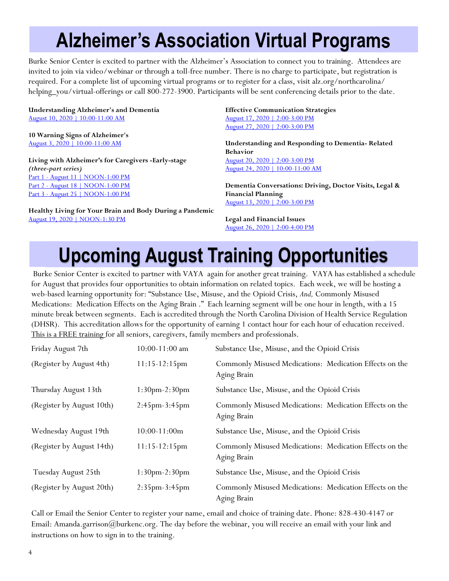## **Alzheimer's Association Virtual Programs**

Burke Senior Center is excited to partner with the Alzheimer's Association to connect you to training. Attendees are invited to join via video/webinar or through a toll-free number. There is no charge to participate, but registration is required. For a complete list of upcoming virtual programs or to register for a class, visit alz.org/northcarolina/ helping\_you/virtual-offerings or call 800-272-3900. Participants will be sent conferencing details prior to the date.

**Understanding Alzheimer's and Dementia** August 10, 2020 | 10:00-11:00 AM

**10 Warning Signs of Alzheimer's** August 3, 2020 | 10:00-11:00 AM

**Living with Alzheimer's for Caregivers -Early-stage**  *(three-part series)* Part 1 - August 11 | NOON-1:00 PM Part 2 - August 18 | NOON-1:00 PM Part 3 - August 25 | NOON-1:00 PM

**Healthy Living for Your Brain and Body During a Pandemic** August 19, 2020 | NOON-1:30 PM

**Effective Communication Strategies** August 17, 2020 | 2:00-3:00 PM August 27, 2020 | 2:00-3:00 PM

**Understanding and Responding to Dementia- Related Behavior** August 20, 2020 | 2:00-3:00 PM August 24, 2020 | 10:00-11:00 AM

**Dementia Conversations: Driving, Doctor Visits, Legal & Financial Planning** August 13, 2020 | 2:00-3:00 PM

**Legal and Financial Issues** August 26, 2020 | 2:00-4:00 PM

# **Upcoming August Training Opportunities**

Burke Senior Center is excited to partner with VAYA again for another great training. VAYA has established a schedule for August that provides four opportunities to obtain information on related topics. Each week, we will be hosting a web-based learning opportunity for: "Substance Use, Misuse, and the Opioid Crisis, *And,* Commonly Misused Medications: Medication Effects on the Aging Brain ." Each learning segment will be one hour in length, with a 15 minute break between segments. Each is accredited through the North Carolina Division of Health Service Regulation (DHSR). This accreditation allows for the opportunity of earning 1 contact hour for each hour of education received. This is a FREE training for all seniors, caregivers, family members and professionals.

| Friday August 7th         | $10:00 - 11:00$ am | Substance Use, Misuse, and the Opioid Crisis                           |
|---------------------------|--------------------|------------------------------------------------------------------------|
| (Register by August 4th)  | $11:15-12:15$ pm   | Commonly Misused Medications: Medication Effects on the<br>Aging Brain |
| Thursday August 13th      | $1:30pm-2:30pm$    | Substance Use, Misuse, and the Opioid Crisis                           |
| (Register by August 10th) | $2:45pm-3:45pm$    | Commonly Misused Medications: Medication Effects on the<br>Aging Brain |
| Wednesday August 19th     | $10:00-11:00m$     | Substance Use, Misuse, and the Opioid Crisis                           |
| (Register by August 14th) | $11:15-12:15$ pm   | Commonly Misused Medications: Medication Effects on the<br>Aging Brain |
| Tuesday August 25th       | 1:30pm-2:30pm      | Substance Use, Misuse, and the Opioid Crisis                           |
| (Register by August 20th) | $2:35pm-3:45pm$    | Commonly Misused Medications: Medication Effects on the<br>Aging Brain |

Call or Email the Senior Center to register your name, email and choice of training date. Phone: 828-430-4147 or Email: Amanda.garrison@burkenc.org. The day before the webinar, you will receive an email with your link and instructions on how to sign in to the training.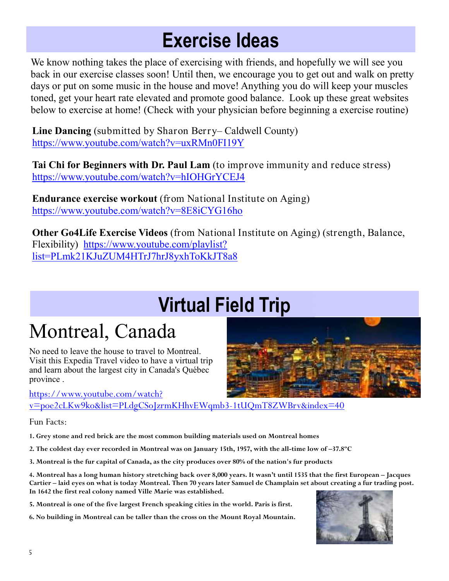## **Exercise Ideas**

We know nothing takes the place of exercising with friends, and hopefully we will see you back in our exercise classes soon! Until then, we encourage you to get out and walk on pretty days or put on some music in the house and move! Anything you do will keep your muscles toned, get your heart rate elevated and promote good balance. Look up these great websites below to exercise at home! (Check with your physician before beginning a exercise routine)

**Line Dancing** (submitted by Sharon Berry– Caldwell County) https://www.youtube.com/watch?v=uxRMn0FI19Y

**Tai Chi for Beginners with Dr. Paul Lam** (to improve immunity and reduce stress) https://www.youtube.com/watch?v=hIOHGrYCEJ4

**Endurance exercise workout** (from National Institute on Aging) https://www.youtube.com/watch?v=8E8iCYG16ho

**Other Go4Life Exercise Videos** (from National Institute on Aging) (strength, Balance, Flexibility) https://www.youtube.com/playlist? list=PLmk21KJuZUM4HTrJ7hrJ8yxhToKkJT8a8

# **Virtual Field Trip**

## Montreal, Canada

No need to leave the house to travel to Montreal. Visit this Expedia Travel video to have a virtual trip and learn about the largest city in Canada's Québec province .

https://www.youtube.com/watch?

v=poe2cLKw9ko&list=PLdgCSoJzrmKHhvEWqmb3-1tUQmT8ZWBrv&index=40

Fun Facts:

**1. Grey stone and red brick are the most common building materials used on Montreal homes** 

**2. The coldest day ever recorded in Montreal was on January 15th, 1957, with the all-time low of –37.8ºC** 

**3. Montreal is the fur capital of Canada, as the city produces over 80% of the nation's fur products**

**4. Montreal has a long human history stretching back over 8,000 years. It wasn't until 1535 that the first European – Jacques Cartier – laid eyes on what is today Montreal. Then 70 years later Samuel de Champlain set about creating a fur trading post. In 1642 the first real colony named Ville Marie was established.** 

**5. Montreal is one of the five largest French speaking cities in the world. Paris is first.** 

**6. No building in Montreal can be taller than the cross on the Mount Royal Mountain.** 



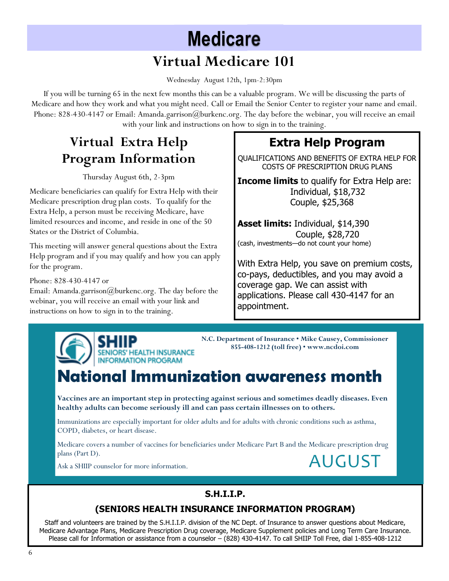# **Medicare**

## **Virtual Medicare 101**

Wednesday August 12th, 1pm-2:30pm

If you will be turning 65 in the next few months this can be a valuable program. We will be discussing the parts of Medicare and how they work and what you might need. Call or Email the Senior Center to register your name and email. Phone: 828-430-4147 or Email: Amanda.garrison@burkenc.org. The day before the webinar, you will receive an email with your link and instructions on how to sign in to the training.

## **Virtual Extra Help Program Information**

Thursday August 6th, 2-3pm

Medicare beneficiaries can qualify for Extra Help with their Medicare prescription drug plan costs. To qualify for the Extra Help, a person must be receiving Medicare, have limited resources and income, and reside in one of the 50 States or the District of Columbia.

This meeting will answer general questions about the Extra Help program and if you may qualify and how you can apply for the program.

Phone: 828-430-4147 or

Email: Amanda.garrison@burkenc.org. The day before the webinar, you will receive an email with your link and instructions on how to sign in to the training.

### **Extra Help Program**

QUALIFICATIONS AND BENEFITS OF EXTRA HELP FOR COSTS OF PRESCRIPTION DRUG PLANS

**Income limits** to qualify for Extra Help are: Individual, \$18,732 Couple, \$25,368

**Asset limits:** Individual, \$14,390 Couple, \$28,720 (cash, investments—do not count your home)

With Extra Help, you save on premium costs, co-pays, deductibles, and you may avoid a coverage gap. We can assist with applications. Please call 430-4147 for an appointment.



**N.C. Department of Insurance • Mike Causey, Commissioner 855-408-1212 (toll free) • www.ncdoi.com** 

# **National Immunization awareness month <br>
National Immunization awareness month**

**Vaccines are an important step in protecting against serious and sometimes deadly diseases. Even healthy adults can become seriously ill and can pass certain illnesses on to others.** 

Immunizations are especially important for older adults and for adults with chronic conditions such as asthma, COPD, diabetes, or heart disease.

Medicare covers a number of vaccines for beneficiaries under Medicare Part B and the Medicare prescription drug plans (Part D).

Ask a SHIIP counselor for more information.

## AUGUST

#### **S.H.I.I.P.**

#### **(SENIORS HEALTH INSURANCE INFORMATION PROGRAM)**

Staff and volunteers are trained by the S.H.I.I.P. division of the NC Dept. of Insurance to answer questions about Medicare, Medicare Advantage Plans, Medicare Prescription Drug coverage, Medicare Supplement policies and Long Term Care Insurance. Please call for Information or assistance from a counselor – (828) 430-4147. To call SHIIP Toll Free, dial 1-855-408-1212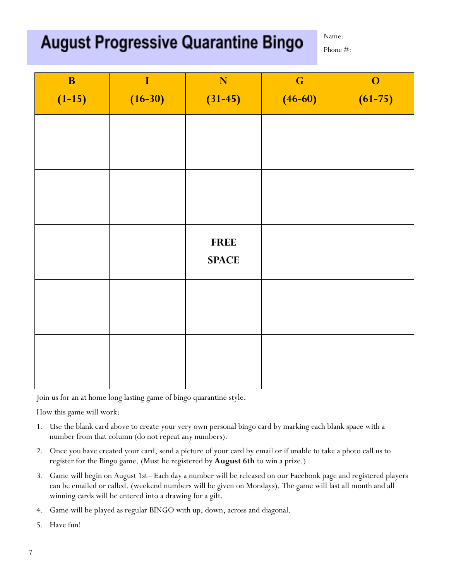## **August Progressive Quarantine Bingo**

Name:

Phone #:

| $\mathbf{B}$ | $\bf I$   | N            | $\mathbf G$ | $\mathbf{O}$ |
|--------------|-----------|--------------|-------------|--------------|
| $(1-15)$     | $(16-30)$ | $(31-45)$    | $(46-60)$   | $(61-75)$    |
|              |           |              |             |              |
|              |           |              |             |              |
|              |           |              |             |              |
|              |           |              |             |              |
|              |           |              |             |              |
|              |           |              |             |              |
|              |           | <b>FREE</b>  |             |              |
|              |           | <b>SPACE</b> |             |              |
|              |           |              |             |              |
|              |           |              |             |              |
|              |           |              |             |              |
|              |           |              |             |              |
|              |           |              |             |              |

Join us for an at home long lasting game of bingo quarantine style.

How this game will work:

- 1. Use the blank card above to create your very own personal bingo card by marking each blank space with a number from that column (do not repeat any numbers).
- 2. Once you have created your card, send a picture of your card by email or if unable to take a photo call us to register for the Bingo game. (Must be registered by **August 6th** to win a prize.)
- 3. Game will begin on August 1st– Each day a number will be released on our Facebook page and registered players can be emailed or called. (weekend numbers will be given on Mondays). The game will last all month and all winning cards will be entered into a drawing for a gift.
- 4. Game will be played as regular BINGO with up, down, across and diagonal.
- 5. Have fun!